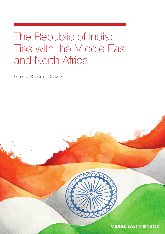## The Republic of India: Ties with the Middle East and North Africa

Gleydis Sanamé Chávez



**MIDDLE EAST MONITOR**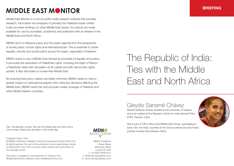## **MIDDLE EAST MONITOR**

Middle East Monitor is a not-for-profit media research institute that provides research, information and analyses of primarily the Palestine-Israel conflict. It also provides briefings on other Middle East issues. Its outputs are made available for use by journalists, academics and politicians with an interest in the Middle East and North Africa.

MEMO aims to influence policy and the public agenda from the perspective of social justice, human rights and international law. This is essential to obtain equality, security and social justice across the region, especially in Palestine.

MEMO wants to see a Middle East framed by principles of equality and justice. It promotes the restoration of Palestinian rights, including the Right of Return, a Palestinian state with Jerusalem as its capital and with democratic rights upheld. It also advocates a nuclear-free Middle East.

By ensuring that policy-makers are better informed, MEMO seeks to have a greater impact on international players who make key decisions affecting the Middle East. MEMO wants fair and accurate media coverage of Palestine and other Middle Eastern countries.

# The Republic of India: Ties with the Middle East and North Africa

### Gleydis Sanamé Chávez

policies towards Sub-Saharan Africa.

Gleydis Sanamé Chávez studied at the University of Havana and is an analyst at the Research Centre for International Policy (CIPI), Havana, Cuba.

She is part of CIPI's Africa and Middle East Group, specialising in

Syria, Iran, the Arab countries of the Gulf as well as Iran and India's

Title: *The Republic of India: Ties with the Middle East and North Africa*  Cover Image: *Watercolour illustration of the Indian flag*

Published: March 2021

© MEMO Publishers, Research Centre for International Policy (CIPI) 2021 All rights reserved. No part of this publication may be reproduced, stored or transmitted in any form or by any means without prior permission of the copyright owner.

This report is available to download free of charge on the Middle East Monitor Website: www.middleeastmonitor.com



MEMO Publishers 1 Green Mews Bevenden Street London N1 6AS t: +44 (0)20 8838 0231 e: info@memopublishers.com w: www.memopublishers.com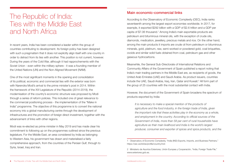### The Republic of India: Ties with the Middle East and North Africa

In recent years, India has been considered a leader within the group of countries contributing to development. Its foreign policy has been designed with such a pragmatism that it does not explicitly align itself with one country in order to detract from its ties with another. This position is not current, however. During the years of the Cold War, although it had rapprochements with the Soviet Union - even within the military sphere - it was a founding member of the United Nations (UN) and the Non-Aligned Movement (NAM).

One of the most significant moments in the opening and consolidation of its political, economic and commercial ties with the exterior was born with Narendra Modi's arrival to the prime minister's post in 2014. Within the framework of the XVI Legislature of the Republic (2014-2019), the modernisation of the country's economic structure was proposed by Modi through a series of reform policies. This included one of great relevance to the commercial positioning process - the implementation of the "Make in India" programme. The objective of this programme is to convert the national economy into a global manufacturing centre through the development of infrastructures and the promotion of foreign direct investment, together with the advancement of links with other regions.

Modi was re-elected as prime minister in May 2019 and has made clear his commitment to following up on the programmes outlined since the previous legislature. For the Middle East, an area considered by India as belonging to Western Asia, his government has drawn and materialised a fairly comprehensive approach, from the countries of the Persian Gulf, through to Syria, Israel, Iraq and Iran.

#### Main economic-commercial links

According to the Observatory of Economic Complexity (OEC), India ranks seventeenth among the largest export economies worldwide. In 2017, for example, it exported \$292 billion with a GDP of \$2.6 trillion and a GDP per capita of \$7.06 thousand.<sup>1</sup> Among India's main exportable products are petroleum and bituminous mineral oils, with the exception of crude oils, diamonds, medication, jewellery, precious metals and rice. On the other hand, among the main products it imports are crude oil from petroleum or bituminous minerals, gold, platinum, raw, semi-worked or powdered gold, coal briquettes, ovoids and similar solid fuels obtained from coal, petroleum gas and other gaseous hydrocarbons.

Meanwhile, the General Sub-Directorate of International Relations and Community Affairs of the Government of Spain published a report noting that India's main trading partners in the Middle East are, as recipients of goods, the United Arab Emirates (UAE) and Saudi Arabia. As product issuers, countries include the UAE, Saudi Arabia, Iraq, Iran, Qatar and Kuwait.2 All form part of the group of 25 countries with the most substantial contact with India.

However, the document of the Government of Spain broadens the spectrum of products exported by India:

*It is necessary to make a special mention of the products of agriculture and the food industry, in the foreign trade of India, given the important role that these activities play in the economy as a whole, and employment in the country. According to official sources of the Government of India, more than 58 per cent of rural households have agriculture as their main livelihood and India is the world's largest producer, consumer and exporter of spices and spice products, and the* 

<sup>1</sup> Observatory of Economic Complexity, "India (IND) Exports, Imports, and Business Partners," https://oec.world/es/profile/country/ind/.

<sup>2</sup> Ministerio de Asuntos Exteriores, Unión Europea y Cooperación, "India, Foreign Trade File," www.exteriores.gob.es.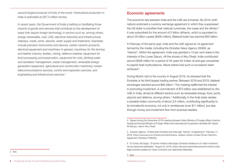*second-largest producer of fruits of the world. Horticultural production in India is estimated at 287.3 million tonnes.* 

*In recent years, the Government of India is betting on facilitating those imports of goods and services that contribute to the development of areas that require foreign technology, in sectors such as, among others, energy (renewable, coal, LNG, electrical networks) and infrastructures (railways, roads, ports, airports, water supply and treatment). Examples include precision instruments and devices, certain ceramic products, electrical equipment and machinery in general, machinery for the tanning and leather industry, textiles, mining, defence material, equipment for food processing and preservation, equipment for cold, drinking water and sanitation management, waste management, renewable energy generation equipment, agricultural and construction machinery, certain telecommunications services, control and inspection services, and engineering and infrastructure services.3*

#### Economic agreements

The economic ties between India and the UAE are immense. By 2018, both nations endorsed a currency exchange agreement in which they suppressed the US dollar to prioritise their national currencies, the rupee and the dirham.4 It was subscribed for the amount of 2 billion dirhams, which is equivalent to about 35 billion rupees (\$495 million). Bilateral trade has reached \$50 billion.

In February of the same year, India and the UAE signed an oil agreement termed by the media, including the *Emirates News Agency (WAM)*, as "historic". Within the agreement, India was granted a 10 per cent stake in the interests of the Lower Zakum, off the shores of Abu Dhabi. India contributed around \$599 million for a period of 40 years for Indian oil and gas companies to exploit Arab hydrocarbons. Never before had such a concession been achieved.5

During Modi's visit to the country in August 2019, he stressed that the Emirates is his third-largest trading partner. Between 2018 and 2019, bilateral exchanges reached around \$60 billion.<sup>6</sup> The meeting reaffirmed the interest in promoting investment. A commitment of \$75 billion was established by the UAE in India, aimed at different sectors such as renewable energy, food, ports, airports and defence, among others.7 Additionally, in the Arab state resides a sizeable Indian community of about 2.6 million, contributing significantly to its homeland's economy, not only in remittances (over \$11 billion), but also through money and investment flow from business leaders.

3 Ibid.

<sup>4</sup> Signed during the December 2018 meeting between Indian Minister of Foreign Affairs Sushma Swaraj and Emirati Minister of Foreign Affairs and International Cooperation Abdullah Bin Zayed Al-Nahyan, held in Abu Dhabi.

<sup>5</sup> Anadolu Agency, "United Arab Emirates and India sign 'historic' oil agreement," February 11, 2018, https://www.aa.com.tr/es/economía/emiratos- árabes-Unidos-e-India-Firman-Historico-Agreement-Petrolero/1060493.

<sup>6</sup> El Correo del Golgo, "El primer ministro indio llega a Emiratos Árabes en el 'mejor momento' de las relaciones bilaterales," August 24, 2019, https://elcorreo.ae/emiratos/primer-ministro-indiollega-emiratos-arabes-en-mejor-momento-sus-relaciones-bilaterales.

<sup>7</sup> Ibid.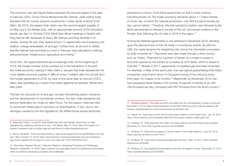The economic ties with Saudi Arabia represent the second-largest in the area. In February 2020, Crown Prince Mohammed Bin Salman, while visiting India, stressed that his country expects investments in Asian lands of about \$100 billion. By 2019, the largest Arab nation was the second-largest supplier of oil after Iraq in the Middle East, with an approximate amount of 200 thousand barrels per day.<sup>8</sup> In October 2019, Modi held official meetings in Riyadh with King Salman Bin Abdulaziz Al-Saud, Bin Salman and King Abdullah II of Jordan. During the visit, they signed around 12 agreements encompassing civil aviation, energy renewables, oil and gas. Furthermore, an amount in dollars that Bin Salman had promised to invest in February were allocated to refining, petrochemicals, infrastructure, agriculture and mining.9

As for Iran, the rapprochements are increasingly solid. At the beginning of 2019, the foreign minister of Iran pointed out in the framework of the joint Iran-India economic meeting in New Delhi in January that India represented the most reliable economic partner in difficult times.<sup>10</sup> Indeed, after the US exit from the nuclear agreement in 2018, by June of the same year, an amount of \$13 billion was quantified as a result of the trade agreements between Tehran and New Delhi.

The ties not only point to oil and gas, but also the banking sector, insurance and the development of commercial corridors. For Iran, India represents the second destination for crude oil, after China. For this reason, India has tried to circumvent Washington's sanctions on Shia Muslims. In fact, due to the damages caused by the first regulations, the White House issued temporary exemptions in favour of the Modi government so that it could continue importing Iranian oil. The Indian economy demands about 4.7 million barrels of oil per day, of which the national production, only 949 thousand barrels per day, cannot satisfy.11 Therefore, this anti-sanctions position was followed by the Modi administration's refusal to be part of the US' anti-Iranian coalition in the Persian Gulf, following the oil crisis in 2019 in the region.<sup>12</sup>

Among the bilateral agreements is one achieved in December 2018, deciding upon the abandonment of the US dollar in commercial activity. As with the UAE, the rupee became the bargaining chip during the importation processes by India of Iranian oil.13 Payments were also made through a third country, such as Turkey: "Payment for a portion of Iranian oil is made in rupees in accounts opened by the Iranian oil company at UCO Bank, which is based in Calcutta."14 Already in 2017, agreements on liquefied gas had been endorsed. For example, in May of the same year, one was signed guaranteeing that Indian companies could import about 44 thousand tonnes of the resource every thirty days, for a lapse of six months.15 Meanwhile, by November 2016, Iran had surpassed Saudi Arabia in the number of exports of barrels of oil, with 789 thousand per day, compared with 697 thousand from the Sunni country.16

<sup>8</sup> Katsoulas, Fotios, "Crude Oil Trade Middle East Gulf and Western Africa flows to India strengthening, replacing volumes from Iran," IHS Markit, May 13, 2019, https://ihsmarkit.com/ research-analysis/crude-oil-trade-meg-and-waf-flows-to-india-strengthening.html.

<sup>9</sup> Roche, Elizabeth, "India and Saudi Arabia to sign dozen agreements during PM Modi's two-day visit," Mint, October 27, 2019, https://www.livemint.com/news/india/india-and-saudi-arabia-tosign-dozen-agreements-during-pm-modi-s-two-day-visit-11572162783344.html.

<sup>10</sup> Moonakal, Nadeem Ahmed, "India-Iran Relations: Assessing Prospects and Challenges," Rasanah, September 15, 2020, https://rasanah-iiis.org/english/centre-for-researches-and-studies/ india-iran-relations-assessing-prospects-and-challenges/.

<sup>11</sup> Empresa Exterior, "The Indian economy will suffer from the US blockade of Iranian oil imports," November 2, 2018, https://empresaexterior.com/art/68179/la-economia--india-se-resentira-delbloqueo-estadoamericano-a-las-importaciones-de-petroleo-irani.

<sup>12</sup> Hispan TV, "India does not join the US anti-Iranian coalition in the Persian Gulf," July 19, 2019, https://www.hispantv.com/noticias/la-india/433415/buques-coalicion-militar-golfo-iran.

<sup>13</sup> Al Manar TV, "India abandons the dollar in its trade with Iran and the United Arab Emirates," December 12, 2018, http://spanish.almanar.com.lb/268567.

<sup>14</sup> Al Manar TV, "India and Iran agree to use the rupee in their trade relations," June 23, 2018, https://spanish.almanar.com.lb/214612.

<sup>15</sup> Al Manar TV, "India starts importing liquefied gas from Iran," May 13, 2017, https://spanish. almanar.com.lb/84482

<sup>16</sup> Al Manar TV, "Iran displaces Saudi Arabia as the first oil supplier to India," November 18, 2016, https://spanish.almanar.com.lb/28305.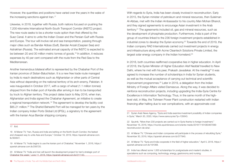However, the quantities and positions have varied over the years in the wake of the increasing sanctions against Iran.17

Likewise, in 2018, together with Russia, both nations focused on pushing the 7,200-kilometre International North-South Transport Corridor (INSTC) project. The new route seeks to be a shorter route option than that offered by the Suez Canal. It aims to unite the Indian Ocean and the Persian Gulf with Russia and Europe. The tour will involve rail and sea transportation, passing through major cities such as Bandar Abbas (Gulf), Bandar Anzali (Caspian Sea) and Astrakhan (Russia). The estimated annual capacity of the INSTC is expected to be between 20 and 30 million metric tonnes of goods.18 In addition, it reduces expenses by 40 per cent compared with the route from the Red Sea to the Mediterranean.

Another tremendous bilateral effort is represented by the Chabahar Port of the Iranian province of Sistan-Baluchistan. It is a new free trade route managed by India to reach destinations such as Afghanistan or other parts of Central Asia without depending on the national territory of its arch-enemy, Pakistan. It was inaugurated in October 2017, with a cargo of wheat (1.1 million tonnes) shipped from the Indian port of Kandla after arriving in Iran to be transported by truck to Afghan territory. This project dates back to May 2016, when Iran, Afghanistan and India signed the Chabahar Agreement, an initiative to create a regional transportation network.19 The agreement to develop the facility cost \$85.21 million.<sup>20</sup> The Shahid Beheshti Port will be managed for ten years by the Indian company Indian Ports Global Ltd (IPGL), a signatory to the agreement with the Iranian Arya Bandar shipping company.

territory.<sup>21</sup> The agreements included oil, gas and mineral resources, such as the development of phosphate production. Furthermore, India is part of the group of countries linked to the 236 foreign investment projects established in industrial zones to develop the Syrian economy.<sup>22</sup> Towards the end of 2019, the Indian company RAD Internationals carried out investment projects in energy and infrastructure along with Acme Cleantech Solutions Private Limited, the largest solar energy company in the Indian homeland.<sup>23</sup> In 2018, both countries reaffirmed cooperative ties in higher education. In April

of 2018, the Syrian Minister of Higher Education Atef Naddaf travelled to New Delhi, where he met with his peer. Prakash Javadekar. At the meeting<sup>24</sup> it was agreed to increase the number of scholarships in India for Syrian students, as well as the mutual acceptance of carrying out technical and scientific improvement programmes.<sup>25</sup> Later in 2019, a delegation from the Indian Ministry of Foreign Affairs visited Damascus. Along the way, it was decided to reinforce reconstruction projects, including upgrading the India-Syria Centre for Excellence in Information Technology. Thus, in the same month of the highlevel visit, in May, the Tishreen Power Plant construction restarted with Indian financing after halting due to war complications, with an approximate cost

With regards to Syria, India has been closely involved in reconstruction. Early in 2015, the Syrian minister of petroleum and mineral resources, then Suleiman Al-Abbas, met with the Indian Ambassador to his country Man Mohan Bhanot,

and they signed agreements to encourage Asian investment in the Arab

23 Al Manar TV, "Chinese and Indian companies will participate in the process of rebuilding Syria," November 30, 2019, https://spanish.almanar.com.lb/377940.

24 Al Manar TV, "Syria and India cooperate in the field of higher education," April 5, 2018, https:// spanish.almanar.com.lb/191068.

25 India has offered some 1,000 scholarships for postgraduate and master's studies, in specialisms such as computing, technology, energy, gastronomy and nursing.

<sup>21</sup> Syrian Arab News Agency, "Syria and India examine investment possibility of Indian companies in Syria," March 30, 2020, https://www.sana.sy/es/?p=135643.

<sup>22</sup> Sputnik, "More than 230 projects are carried out in Syria thanks to foreign investment," November 16, 2018, https://mundo.sputniknews.com/oriente-medio/201811161083467099 reconstruccion-de-siria/.

<sup>18</sup> Al Manar TV, "Iran, Russia and India are betting on the North-South Corridor, the fastest and cheapest way to unite Asia and Europe," October 18, 2019, https://spanish.almanar.com. lb/364641.

<sup>19</sup> Al Manar TV, "India begins to use the Iranian port of Chabahar," November 1, 2018, https:// spanish.almanar.com.lb/256720.

<sup>20</sup> Al Manar TV, "India and Iran will launch the development project for Iran's strategic port of Chabahar this week," June 11, 2018, https://spanish.almanar.com.lb/211143.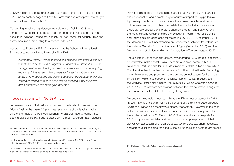of €305 million. The collaboration also extended to the medical sector. Since 2016, Indian doctors began to travel to Damascus and other provinces of Syria to help victims of the conflict.<sup>26</sup>

Concerning Israel, during Netanyahu's visit to New Delhi in 2018, nine agreements were signed to boost trade and cooperation in sectors such as agriculture, science, technology, security, oil, gas, computer security, films and entrepreneurship, amounting to a cost of \$5 billion.<sup>27</sup>

According to Professor P.R. Kumaraswamy at the School of International Studies at Jawaharlal Nehru University, New Delhi:

*During more than 25 years of diplomatic relations, Israel has expanded its footprint in areas such as agriculture, horticulture, floriculture, water management, public health, combating desertification, waste recycling and more. It has taken Indian farmers to Agritech exhibitions and established model farms and training centres in different parts of India. Dozens of agreements have been signed between Israeli ministries, Indian companies and state governments.28*

#### Trade relations with North Africa

Trade relations with North Africa do not reach the levels of those with the Middle East. In the case of Egypt, it represents one of the leading trading partners for India on the African continent. A bilateral trade agreement has been in place since 1978 and is based on the most-favoured-nation clauses

(MFNs). India represents Egypt's sixth-largest trading partner, third-largest export destination and eleventh-largest source of import for Egypt. India's top five exportable products are mineral fuels, meat, vehicles and parts, cotton yarns and organic chemicals, while the top five Indian imports are crude oil, rock phosphate, inorganic chemicals, cotton and fruit.<sup>29</sup> Among the most relevant agreements are the Executive Programmes for Scientific and Technological Cooperation for the period 2015-2018 (December 2014), the Memorandum of Understanding on Cooperation between Secretaries of the National Security Councils of India and Egypt (December 2015) and the Memorandum of Understanding on Cooperation in Tourism (August 2015).

There exists in Egypt an Indian community of around 3,600 people, specifically concentrated in the capital, Cairo. There are also small communities in Alexandria, Port Said and Ismailia. Most members of the Indian community in Egypt work either for Indian companies or for other multinationals. Regarding cultural exchange and promotion, there are the annual cultural festival "India by the Nile", which has become the largest foreign festival in Egypt, and the Maulana Azad Indian Culture Centre (MACIC), which was established in Cairo in 1992 to promote cooperation between the two countries through the implementation of the Cultural Exchange Programme.<sup>30</sup>

Morocco, for example, presents India as the fifth-largest customer for 2018 (in 2017, it was the eighth), with 3.80 per cent of the total exported products. Spain and France hold the first two places, respectively. However, in the case of the countries from which Morocco imports, India does not appear within the top ten - neither in 2017 nor in 2018. The main Moroccan exports for 2018 comprise automobiles and their components, phosphates and their derivatives, agricultural and food products, textile products, pharmaceuticals, and aeronautical and electronic industries. Citrus fruits and seafood are among

<sup>26</sup> Deccan Herald, "India believes humanitarian aid to Syria must be consistent," February 26, 2021, https://www.deccanherald.com/national/india-believes-humanitarian-aid-to-syria-must-beconsistent-955494.html.

<sup>27</sup> Enlace Judio, "The alliance between India and Israel," February 10, 2018, https://www. enlacejudio.com/2018/02/10/la-alianza-entre-india-e-israel/.

<sup>28</sup> Aurora, "Decentralisation the key to India-Israel relations," June 28, 2017, http://www.auroraisrael.co.il/descentralizacion-la-clave-de-las-relaciones-india-israel.

<sup>29</sup> Embassy of India in Cairo, https://www.eoicairo.gov.in.

<sup>30</sup> Ibid.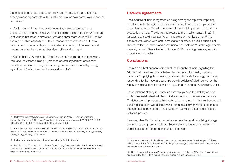the most exported food products.31 However, in previous years, India had already signed agreements with Rabat in fields such as automotive and natural resources.32

As for Tunisia, India continues to be one of its main customers in the phosphoric acid market. Since 2013, the Tunisian Indian Fertiliser SA (TIFERT) joint venture has been in operation, with an approximate value of \$450 million and a production capacity of 360,000 tonnes of phosphoric acid. Tunisia imports from India assembly kits, cars, electrical items, cotton, mechanical motors, organic chemicals, rubber, rice, coffee and spices.<sup>33</sup>

In September 2016, within the Third Africa-India Forum Summit framework, India and the African Union (AU) reached several key commitments, with the fields of action including the economy, commerce and industry, energy, agriculture, infrastructure, healthcare and security.<sup>34</sup>

The Republic of India is regarded as being among the top arms importing countries. In its strategic partnership with Israel, it has been a loyal partner in purchasing arms. Tel Aviv has even sold around 41 per cent of its military production to India. The deals also extend to the missile industry. In 2017, for example, it sold a surface-to-air missile system for \$2.6 billion.<sup>35</sup> The contract was signed with Israel Aerospace Industries, including supplies of drones, radars, launchers and communications systems.36 Twelve agreements were signed with Saudi Arabia in October 2019, including defence, security cooperation and aviation.

#### **Conclusions**

The main political-economic trends of the Republic of India regarding the Middle East have been characterised by the search for nearby markets capable of supplying its increasingly growing demands for energy resources, responding to the national economic growth policies of Modi, as well as the replay of regional powers between his government and the Asian giant, China.

These relations already represent an essential place in the stability of India, while those established with North Africa do not hold the same importance. The latter are not principal within the broad panorama of India's exchanges with other regions of the world. However, in an increasingly growing state, trends suggest that in the not-so-distant future, Africa will be the area of influence between powers.

Likewise, New Delhi's performance has revolved around prioritising strategic agreements and promoting South-South collaboration, seeking to rethink traditional external forces in their areas of interest.

<sup>31</sup> Diplomatic Information Office of the Ministry of Foreign Affairs, European Union and Cooperation February 2019, https://www.foment.com/wp-content/uploads/2019/07/INFORME-ECONOMICO-Y-COMERCIAL-MARRUECOS.pdf, pp. 29-30.

<sup>32</sup> Price, Gareth, "India and the Maghreb, a prosperous relationship," Afkar/Ideas, 2007, https:// www.iemed.org/observatori/arees-danalisi/arxius-adjunts/afkar/afkar-16/india\_magreb\_relacion\_ Gareth Price afkar16 esp.pdf, P. 26.

<sup>33</sup> Embassy of India in Tunisia, "http://www.embassyofindiatunis.com/.

<sup>34</sup> Beri, Ruchita, "Third India Africa Forum Summit: Key Outcomes," Manohar Parrikar Institute for Defence Studies and Analyses, October-December 2015, https://idsa.in/africatrends/third-indiaafrica-forum-summit\_rberi\_1215.

<sup>35</sup> Armanian, Nazanin, "India e Israel crean una inquietante asociación estratégica," Publico, July 10, 2017, https://m.publico.es/redirect/blogs/puntoyseguido/4066/india-e-israel-crean-unainquietante-asociacion-estrategica/.

<sup>36</sup> RFI, "Historic visit of Indian Prime Minister Modi to Israel," July 4, 2017, http://www.rfi.fr/es/ oriente-medio/20170704-historica-visita-del-primer-ministro-indio-modi-israel.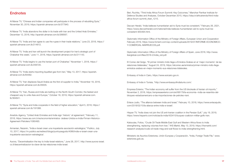#### **Endnotes**

Al Manar TV, "Chinese and Indian companies will participate in the process of rebuilding Syria," November 30, 2019, https://spanish.almanar.com.lb/377940.

Al Manar TV, "India abandons the dollar in its trade with Iran and the United Arab Emirates," December 12, 2018, http://spanish.almanar.com.lb/268567.

Al Manar TV, "India and Iran agree to use the rupee in their trade relations," June 23, 2018, https:// spanish.almanar.com.lb/214612.

Al Manar TV, "India and Iran will launch the development project for Iran's strategic port of Chabahar this week," June 11, 2018, https://spanish.almanar.com.lb/211143.

Al Manar TV, "India begins to use the Iranian port of Chabahar," November 1, 2018, https:// spanish.almanar.com.lb/256720.

Al Manar TV, "India starts importing liquefied gas from Iran," May 13, 2017, https://spanish. almanar.com.lb/84482.

Al Manar TV, "Iran displaces Saudi Arabia as the first oil supplier to India," November 18, 2016, https://spanish.almanar.com.lb/28305.

Al Manar TV, "Iran, Russia and India are betting on the North-South Corridor, the fastest and cheapest way to unite Asia and Europe," October 18, 2019, https://spanish.almanar.com. lb/364641.

Al Manar TV, "Syria and India cooperate in the field of higher education," April 5, 2018, https:// spanish.almanar.com.lb/191068.

Anadolu Agency, "United Arab Emirates and India sign 'historic' oil agreement," February 11, 2018, https://www.aa.com.tr/es/economía/emiratos- árabes-Unidos-e-India-Firman-Historico-Agreement-Petrolero/1060493.

Armanian, Nazanin, "India e Israel crean una inquietante asociación estratégica," Publico, July 10, 2017, https://m.publico.es/redirect/blogs/puntoyseguido/4066/india-e-israel-crean-unainquietante-asociacion-estrategica/.

Aurora, "Decentralisation the key to India-Israel relations," June 28, 2017, http://www.aurora-israel. co.il/descentralizacion-la-clave-de-las-relaciones-india-israel.

Beri, Ruchita, "Third India Africa Forum Summit: Key Outcomes," Manohar Parrikar Institute for Defence Studies and Analyses, October-December 2015, https://idsa.in/africatrends/third-indiaafrica-forum-summit\_rberi\_1215.

Deccan Herald, "India believes humanitarian aid to Syria must be consistent," February 26, 2021, https://www.deccanherald.com/national/india-believes-humanitarian-aid-to-syria-must-beconsistent-955494.html.

Diplomatic Information Office of the Ministry of Foreign Affairs, European Union and Cooperation February 2019, https://www.foment.com/wp-content/uploads/2019/07/INFORME-ECONOMICO-Y-COMERCIAL-MARRUECOS.pdf.

Diplomatic Information Office of the Ministry of Foreign Affairs of Spain, June 2018, http://www. iberglobal.com/files/2018-2/india\_oid.pdf.

El Correo del Golgo, "El primer ministro Indio llega a Emiratos Árabes en el 'mejor momento' de las relaciones bilaterales," August 24, 2019, https://elcorreo.ae/emiratos/primer-ministro-indio-llegaemiratos-arabes-en-mejor-momento-sus-relaciones-bilaterales.

Embassy of India in Cairo, https://www.eoicairo.gov.in.

Embassy of India in Tunisia, "http://www.embassyofindiatunis.com/.

Empresa Exterior, "The Indian economy will suffer from the US blockade of Iranian oil imports," November 2, 2018, https://empresaexterior.com/art/68179/la-economia--india-se-resentira-delbloqueo-estadoamericano-a-las-importaciones-de-petroleo-irani.

Enlace Judio, "The alliance between India and Israel," February 10, 2018, https://www.enlacejudio. com/2018/02/10/la-alianza-entre-india-e-israel/.

Hispan TV, "India does not join the US anti-Iranian coalition in the Persian Gulf," July 19, 2019, https://www.hispantv.com/noticias/la-india/433415/buques-coalicion-militar-golfo-iran.

Katsoulas, Fotios, "Crude Oil Trade Middle East Gulf and Western Africa flows to India strengthening, replacing volumes from Iran," IHS Markit, May 13, 2019, https://ihsmarkit.com/ research-analysis/crude-oil-trade-meg-and-waf-flows-to-india-strengthening.html.

Ministerio de Asuntos Exteriores, Unión Europea y Cooperación, "India, Foreign Trade File," www. exteriores.gob.es.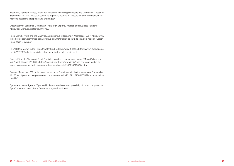Moonakal, Nadeem Ahmed, "India-Iran Relations: Assessing Prospects and Challenges," Rasanah, September 15, 2020, https://rasanah-iiis.org/english/centre-for-researches-and-studies/india-iranrelations-assessing-prospects-and-challenges/.

Observatory of Economic Complexity, "India (IND) Exports, Imports, and Business Partners," https://oec.world/es/profile/country/ind/.

Price, Gareth, "India and the Maghreb, a prosperous relationship," Afkar/Ideas, 2007, https://www. iemed.org/observatori/arees-danalisi/arxius-adjunts/afkar/afkar-16/india\_magreb\_relacion\_Gareth\_ Price\_afkar16\_esp.pdf.

RFI, "Historic visit of Indian Prime Minister Modi to Israel," July 4, 2017, http://www.rfi.fr/es/orientemedio/20170704-historica-visita-del-primer-ministro-indio-modi-israel.

Roche, Elizabeth, "India and Saudi Arabia to sign dozen agreements during PM Modi's two-day visit," Mint, October 27, 2019, https://www.livemint.com/news/india/india-and-saudi-arabia-tosign-dozen-agreements-during-pm-modi-s-two-day-visit-11572162783344.html.

Sputnik, "More than 230 projects are carried out in Syria thanks to foreign investment," November 16, 2018, https://mundo.sputniknews.com/oriente-medio/201811161083467099-reconstruccionde-siria/.

Syrian Arab News Agency, "Syria and India examine investment possibility of Indian companies in Syria," March 30, 2020, https://www.sana.sy/es/?p=135643.